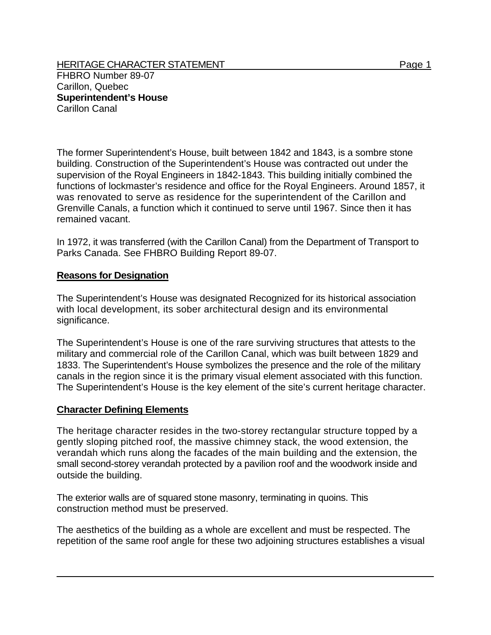HERITAGE CHARACTER STATEMENT FRIELD FOR A STATEMENT AND RAGE 1 FHBRO Number 89-07 Carillon, Quebec **Superintendent's House** 

Carillon Canal

The former Superintendent's House, built between 1842 and 1843, is a sombre stone building. Construction of the Superintendent's House was contracted out under the supervision of the Royal Engineers in 1842-1843. This building initially combined the functions of lockmaster's residence and office for the Royal Engineers. Around 1857, it was renovated to serve as residence for the superintendent of the Carillon and Grenville Canals, a function which it continued to serve until 1967. Since then it has remained vacant.

In 1972, it was transferred (with the Carillon Canal) from the Department of Transport to Parks Canada. See FHBRO Building Report 89-07.

## **Reasons for Designation**

The Superintendent's House was designated Recognized for its historical association with local development, its sober architectural design and its environmental significance.

The Superintendent's House is one of the rare surviving structures that attests to the military and commercial role of the Carillon Canal, which was built between 1829 and 1833. The Superintendent's House symbolizes the presence and the role of the military canals in the region since it is the primary visual element associated with this function. The Superintendent's House is the key element of the site's current heritage character.

## **Character Defining Elements**

The heritage character resides in the two-storey rectangular structure topped by a gently sloping pitched roof, the massive chimney stack, the wood extension, the verandah which runs along the facades of the main building and the extension, the small second-storey verandah protected by a pavilion roof and the woodwork inside and outside the building.

The exterior walls are of squared stone masonry, terminating in quoins. This construction method must be preserved.

The aesthetics of the building as a whole are excellent and must be respected. The repetition of the same roof angle for these two adjoining structures establishes a visual